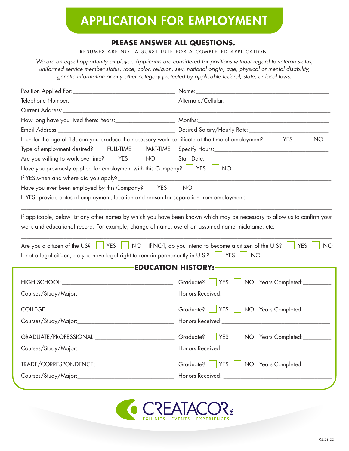# APPLICATION FOR EMPLOYMENT

# **PLEASE ANSWER ALL QUESTIONS.**

RESUMES ARE NOT A SUBSTITUTE FOR A COMPLETED APPLICATION.

*We are an equal opportunity employer. Applicants are considered for positions without regard to veteran status, uniformed service member status, race, color, religion, sex, national origin, age, physical or mental disability, genetic information or any other category protected by applicable federal, state, or local laws.*

|                                                                                                   | Name:                                                                                                                                                                                                                                                                                                                    |  |
|---------------------------------------------------------------------------------------------------|--------------------------------------------------------------------------------------------------------------------------------------------------------------------------------------------------------------------------------------------------------------------------------------------------------------------------|--|
|                                                                                                   |                                                                                                                                                                                                                                                                                                                          |  |
|                                                                                                   |                                                                                                                                                                                                                                                                                                                          |  |
|                                                                                                   |                                                                                                                                                                                                                                                                                                                          |  |
|                                                                                                   |                                                                                                                                                                                                                                                                                                                          |  |
| If under the age of 18, can you produce the necessary work certificate at the time of employment? | <b>YES</b><br><b>NO</b>                                                                                                                                                                                                                                                                                                  |  |
| Type of employment desired? FULL-TIME FART-TIME                                                   |                                                                                                                                                                                                                                                                                                                          |  |
| Are you willing to work overtime?   YES   NO                                                      |                                                                                                                                                                                                                                                                                                                          |  |
| Have you previously applied for employment with this Company?   YES                               | <b>NO</b>                                                                                                                                                                                                                                                                                                                |  |
| If YES, when and where did you apply?_                                                            |                                                                                                                                                                                                                                                                                                                          |  |
| Have you ever been employed by this Company?   YES                                                | <b>NO</b>                                                                                                                                                                                                                                                                                                                |  |
|                                                                                                   |                                                                                                                                                                                                                                                                                                                          |  |
| Are you a citizen of the US?                                                                      | If applicable, below list any other names by which you have been known which may be necessary to allow us to confirm your<br>work and educational record. For example, change of name, use of an assumed name, nickname, etc:<br>YES NO If NOT, do you intend to become a citizen of the U.S?<br><b>YES</b><br><b>NO</b> |  |
| If not a legal citizen, do you have legal right to remain permanently in U.S.?                    | <b>YES</b><br>NO.                                                                                                                                                                                                                                                                                                        |  |
|                                                                                                   | <b>EDUCATION HISTORY:</b>                                                                                                                                                                                                                                                                                                |  |
|                                                                                                   |                                                                                                                                                                                                                                                                                                                          |  |
|                                                                                                   |                                                                                                                                                                                                                                                                                                                          |  |
|                                                                                                   | <b>YES</b><br>NO Years Completed:                                                                                                                                                                                                                                                                                        |  |
|                                                                                                   |                                                                                                                                                                                                                                                                                                                          |  |
|                                                                                                   | GRADUATE/PROFESSIONAL: __________________________________Graduate?   YES   NO Years Completed: __________                                                                                                                                                                                                                |  |
|                                                                                                   |                                                                                                                                                                                                                                                                                                                          |  |
|                                                                                                   | YES<br>NO Years Completed:                                                                                                                                                                                                                                                                                               |  |
|                                                                                                   |                                                                                                                                                                                                                                                                                                                          |  |

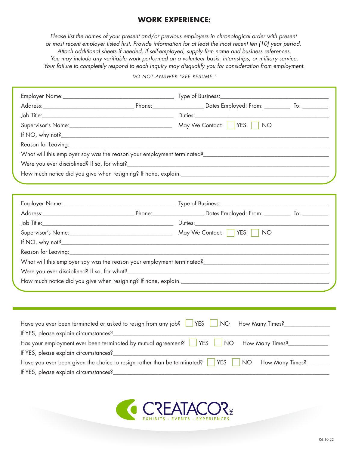# **WORK EXPERIENCE:**

*Please list the names of your present and/or previous employers in chronological order with present or most recent employer listed first. Provide information for at least the most recent ten (10) year period.* Attach additional sheets if needed. If self-employed, supply firm name and business references. You may include any verifiable work performed on a volunteer basis, internships, or military service. *Your failure to completely respond to each inquiry may disqualify you for consideration from employment.*

#### *DO NOT ANSWER "SEE RESUME."*

|                                                                                     |  | Supervisor's Name: Manner May We Contact: TWES TWO |                                    |
|-------------------------------------------------------------------------------------|--|----------------------------------------------------|------------------------------------|
|                                                                                     |  |                                                    |                                    |
|                                                                                     |  |                                                    |                                    |
|                                                                                     |  |                                                    |                                    |
|                                                                                     |  |                                                    |                                    |
|                                                                                     |  |                                                    |                                    |
|                                                                                     |  |                                                    |                                    |
|                                                                                     |  |                                                    |                                    |
|                                                                                     |  |                                                    |                                    |
|                                                                                     |  |                                                    |                                    |
|                                                                                     |  |                                                    |                                    |
|                                                                                     |  |                                                    |                                    |
|                                                                                     |  |                                                    |                                    |
|                                                                                     |  |                                                    |                                    |
|                                                                                     |  |                                                    |                                    |
|                                                                                     |  |                                                    |                                    |
|                                                                                     |  |                                                    |                                    |
| Have you ever been terminated or asked to resign from any job? $\Box$ YES $\Box$ NO |  |                                                    | How Many Times?___________________ |
|                                                                                     |  |                                                    |                                    |
| Has your employment ever been terminated by mutual agreement?   YES                 |  | NO <sub>1</sub>                                    | How Many Times?_______________     |
|                                                                                     |  |                                                    |                                    |
| Have you ever been given the choice to resign rather than be terminated?   YES      |  | <b>NO</b>                                          | How Many Times?________            |
| If YES, please explain circumstances?                                               |  |                                                    |                                    |

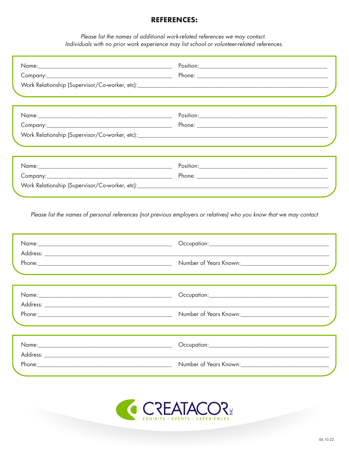### **REFERENCES:**

Please list the names of additional work-related references we may contact. Individuals with no prior work experience may list school or volunteer-related references.

| ,我们也不能会有什么。""我们的人,我们也不能会有什么?""我们的人,我们也不能会有什么?""我们的人,我们也不能会有什么?""我们的人,我们也不能会有什么?"" |
|-----------------------------------------------------------------------------------|
|                                                                                   |

Please list the names of personal references (not previous employers or relatives) who you know that we may contact

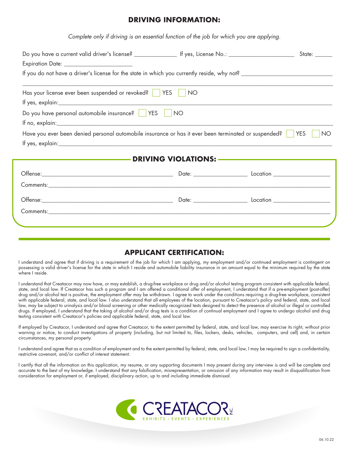#### **DRIVING INFORMATION:**

*Complete only if driving is an essential function of the job for which you are applying.*

| Has your license ever been suspended or revoked?   YES                                                                                                                                                                         | <b>NO</b> |  |  |
|--------------------------------------------------------------------------------------------------------------------------------------------------------------------------------------------------------------------------------|-----------|--|--|
| Do you have personal automobile insurance?   YES                                                                                                                                                                               | <b>NO</b> |  |  |
|                                                                                                                                                                                                                                |           |  |  |
| Have you ever been denied personal automobile insurance or has it ever been terminated or suspended?<br><b>YES</b><br>NO                                                                                                       |           |  |  |
|                                                                                                                                                                                                                                |           |  |  |
|                                                                                                                                                                                                                                |           |  |  |
| Offense: 2000 Location 2000 Location 2000 Location 2000 Location 2000 Location 2000 Location 2000 Location 2000 Location 2000 Location 2000 Location 2000 Location 2000 Location 2000 Location 2000 Location 2000 Location 200 |           |  |  |
|                                                                                                                                                                                                                                |           |  |  |
|                                                                                                                                                                                                                                |           |  |  |
|                                                                                                                                                                                                                                |           |  |  |
|                                                                                                                                                                                                                                |           |  |  |
|                                                                                                                                                                                                                                |           |  |  |

# **APPLICANT CERTIFICATION:**

I understand and agree that if driving is a requirement of the job for which I am applying, my employment and/or continued employment is contingent on possessing a valid driver's license for the state in which I reside and automobile liability insurance in an amount equal to the minimum required by the state where I reside.

I understand that Creatacor may now have, or may establish, a drug-free workplace or drug and/or alcohol testing program consistent with applicable federal, state, and local law. If Creatacor has such a program and I am offered a conditional offer of employment, I understand that if a pre-employment (post-offer) drug and/or alcohol test is positive, the employment offer may be withdrawn. I agree to work under the conditions requiring a drug-free workplace, consistent with applicable federal, state, and local law. I also understand that all employees of the location, pursuant to Creatacor's policy and federal, state, and local law, may be subject to urinalysis and/or blood screening or other medically recognized tests designed to detect the presence of alcohol or illegal or controlled drugs. If employed, I understand that the taking of alcohol and/or drug tests is a condition of continual employment and I agree to undergo alcohol and drug testing consistent with Creatacor's policies and applicable federal, state, and local law.

If employed by Creatacor, I understand and agree that Creatacor, to the extent permitted by federal, state, and local law, may exercise its right, without prior warning or notice, to conduct investigations of property (including, but not limited to, files, lockers, desks, vehicles, computers, and cell) and, in certain circumstances, my personal property.

I understand and agree that as a condition of employment and to the extent permitted by federal, state, and local law, I may be required to sign a confidentiality, restrictive covenant, and/or conflict of interest statement.

I certify that all the information on this application, my resume, or any supporting documents I may present during any interview is and will be complete and accurate to the best of my knowledge. I understand that any falsification, misrepresentation, or omission of any information may result in disqualification from consideration for employment or, if employed, disciplinary action, up to and including immediate dismissal.